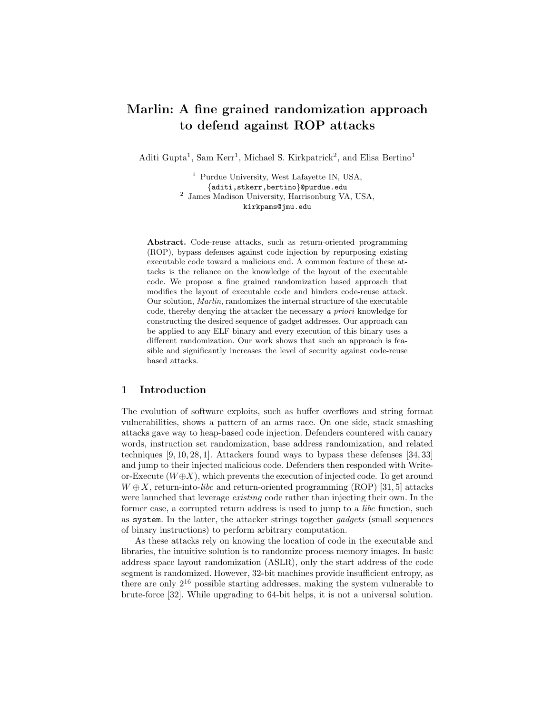# Marlin: A fine grained randomization approach to defend against ROP attacks

Aditi Gupta<sup>1</sup>, Sam Kerr<sup>1</sup>, Michael S. Kirkpatrick<sup>2</sup>, and Elisa Bertino<sup>1</sup>

<sup>1</sup> Purdue University, West Lafayette IN, USA, {aditi,stkerr,bertino}@purdue.edu 2 James Madison University, Harrisonburg VA, USA, kirkpams@jmu.edu

Abstract. Code-reuse attacks, such as return-oriented programming (ROP), bypass defenses against code injection by repurposing existing executable code toward a malicious end. A common feature of these attacks is the reliance on the knowledge of the layout of the executable code. We propose a fine grained randomization based approach that modifies the layout of executable code and hinders code-reuse attack. Our solution, Marlin, randomizes the internal structure of the executable code, thereby denying the attacker the necessary a priori knowledge for constructing the desired sequence of gadget addresses. Our approach can be applied to any ELF binary and every execution of this binary uses a different randomization. Our work shows that such an approach is feasible and significantly increases the level of security against code-reuse based attacks.

### 1 Introduction

The evolution of software exploits, such as buffer overflows and string format vulnerabilities, shows a pattern of an arms race. On one side, stack smashing attacks gave way to heap-based code injection. Defenders countered with canary words, instruction set randomization, base address randomization, and related techniques [9, 10, 28, 1]. Attackers found ways to bypass these defenses [34, 33] and jump to their injected malicious code. Defenders then responded with Writeor-Execute  $(W\oplus X)$ , which prevents the execution of injected code. To get around  $W \oplus X$ , return-into-libc and return-oriented programming (ROP) [31, 5] attacks were launched that leverage existing code rather than injecting their own. In the former case, a corrupted return address is used to jump to a libc function, such as system. In the latter, the attacker strings together gadgets (small sequences of binary instructions) to perform arbitrary computation.

As these attacks rely on knowing the location of code in the executable and libraries, the intuitive solution is to randomize process memory images. In basic address space layout randomization (ASLR), only the start address of the code segment is randomized. However, 32-bit machines provide insufficient entropy, as there are only 2<sup>16</sup> possible starting addresses, making the system vulnerable to brute-force [32]. While upgrading to 64-bit helps, it is not a universal solution.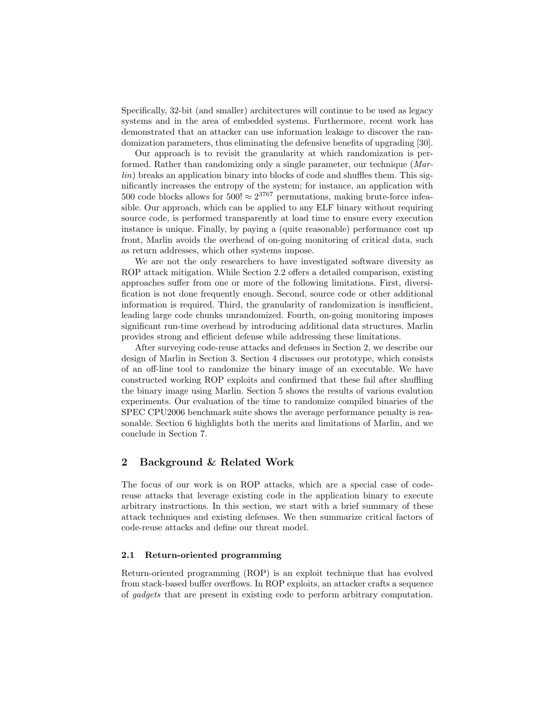Specifically, 32-bit (and smaller) architectures will continue to be used as legacy systems and in the area of embedded systems. Furthermore, recent work has demonstrated that an attacker can use information leakage to discover the randomization parameters, thus eliminating the defensive benefits of upgrading [30].

Our approach is to revisit the granularity at which randomization is performed. Rather than randomizing only a single parameter, our technique (Mar $lin)$  breaks an application binary into blocks of code and shuffles them. This significantly increases the entropy of the system; for instance, an application with 500 code blocks allows for 500!  $\approx 2^{3767}$  permutations, making brute-force infeasible. Our approach, which can be applied to any ELF binary without requiring source code, is performed transparently at load time to ensure every execution instance is unique. Finally, by paying a (quite reasonable) performance cost up front, Marlin avoids the overhead of on-going monitoring of critical data, such as return addresses, which other systems impose.

We are not the only researchers to have investigated software diversity as ROP attack mitigation. While Section 2.2 offers a detailed comparison, existing approaches suffer from one or more of the following limitations. First, diversification is not done frequently enough. Second, source code or other additional information is required. Third, the granularity of randomization is insufficient, leading large code chunks unrandomized. Fourth, on-going monitoring imposes significant run-time overhead by introducing additional data structures. Marlin provides strong and efficient defense while addressing these limitations.

After surveying code-reuse attacks and defenses in Section 2, we describe our design of Marlin in Section 3. Section 4 discusses our prototype, which consists of an off-line tool to randomize the binary image of an executable. We have constructed working ROP exploits and confirmed that these fail after shuffling the binary image using Marlin. Section 5 shows the results of various evalution experiments. Our evaluation of the time to randomize compiled binaries of the SPEC CPU2006 benchmark suite shows the average performance penalty is reasonable. Section 6 highlights both the merits and limitations of Marlin, and we conclude in Section 7.

### 2 Background & Related Work

The focus of our work is on ROP attacks, which are a special case of codereuse attacks that leverage existing code in the application binary to execute arbitrary instructions. In this section, we start with a brief summary of these attack techniques and existing defenses. We then summarize critical factors of code-reuse attacks and define our threat model.

# 2.1 Return-oriented programming

Return-oriented programming (ROP) is an exploit technique that has evolved from stack-based buffer overflows. In ROP exploits, an attacker crafts a sequence of gadgets that are present in existing code to perform arbitrary computation.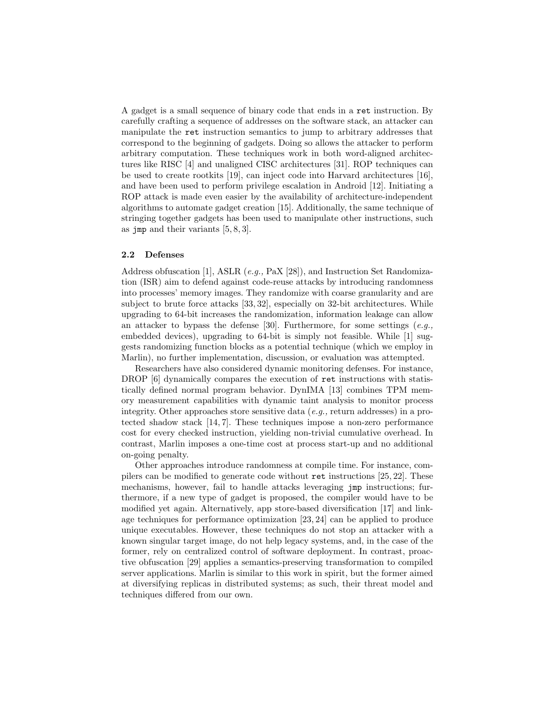A gadget is a small sequence of binary code that ends in a ret instruction. By carefully crafting a sequence of addresses on the software stack, an attacker can manipulate the ret instruction semantics to jump to arbitrary addresses that correspond to the beginning of gadgets. Doing so allows the attacker to perform arbitrary computation. These techniques work in both word-aligned architectures like RISC [4] and unaligned CISC architectures [31]. ROP techniques can be used to create rootkits [19], can inject code into Harvard architectures [16], and have been used to perform privilege escalation in Android [12]. Initiating a ROP attack is made even easier by the availability of architecture-independent algorithms to automate gadget creation [15]. Additionally, the same technique of stringing together gadgets has been used to manipulate other instructions, such as jmp and their variants [5, 8, 3].

#### 2.2 Defenses

Address obfuscation [1], ASLR (e.g., PaX [28]), and Instruction Set Randomization (ISR) aim to defend against code-reuse attacks by introducing randomness into processes' memory images. They randomize with coarse granularity and are subject to brute force attacks [33, 32], especially on 32-bit architectures. While upgrading to 64-bit increases the randomization, information leakage can allow an attacker to bypass the defense [30]. Furthermore, for some settings  $(e.g.,)$ embedded devices), upgrading to 64-bit is simply not feasible. While [1] suggests randomizing function blocks as a potential technique (which we employ in Marlin), no further implementation, discussion, or evaluation was attempted.

Researchers have also considered dynamic monitoring defenses. For instance, DROP [6] dynamically compares the execution of ret instructions with statistically defined normal program behavior. DynIMA [13] combines TPM memory measurement capabilities with dynamic taint analysis to monitor process integrity. Other approaches store sensitive data  $(e.g.,$  return addresses) in a protected shadow stack [14, 7]. These techniques impose a non-zero performance cost for every checked instruction, yielding non-trivial cumulative overhead. In contrast, Marlin imposes a one-time cost at process start-up and no additional on-going penalty.

Other approaches introduce randomness at compile time. For instance, compilers can be modified to generate code without ret instructions [25, 22]. These mechanisms, however, fail to handle attacks leveraging jmp instructions; furthermore, if a new type of gadget is proposed, the compiler would have to be modified yet again. Alternatively, app store-based diversification [17] and linkage techniques for performance optimization [23, 24] can be applied to produce unique executables. However, these techniques do not stop an attacker with a known singular target image, do not help legacy systems, and, in the case of the former, rely on centralized control of software deployment. In contrast, proactive obfuscation [29] applies a semantics-preserving transformation to compiled server applications. Marlin is similar to this work in spirit, but the former aimed at diversifying replicas in distributed systems; as such, their threat model and techniques differed from our own.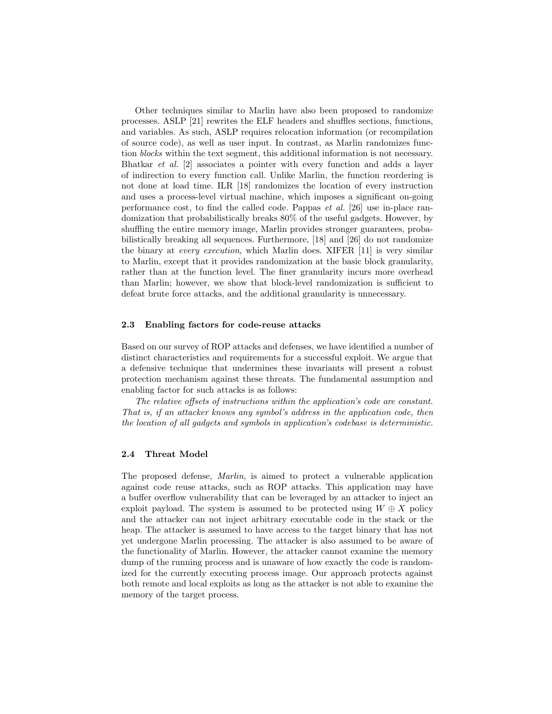Other techniques similar to Marlin have also been proposed to randomize processes. ASLP [21] rewrites the ELF headers and shuffles sections, functions, and variables. As such, ASLP requires relocation information (or recompilation of source code), as well as user input. In contrast, as Marlin randomizes function blocks within the text segment, this additional information is not necessary. Bhatkar et al. [2] associates a pointer with every function and adds a layer of indirection to every function call. Unlike Marlin, the function reordering is not done at load time. ILR [18] randomizes the location of every instruction and uses a process-level virtual machine, which imposes a significant on-going performance cost, to find the called code. Pappas et al. [26] use in-place randomization that probabilistically breaks 80% of the useful gadgets. However, by shuffling the entire memory image, Marlin provides stronger guarantees, probabilistically breaking all sequences. Furthermore, [18] and [26] do not randomize the binary at every execution, which Marlin does. XIFER [11] is very similar to Marlin, except that it provides randomization at the basic block granularity, rather than at the function level. The finer granularity incurs more overhead than Marlin; however, we show that block-level randomization is sufficient to defeat brute force attacks, and the additional granularity is unnecessary.

#### 2.3 Enabling factors for code-reuse attacks

Based on our survey of ROP attacks and defenses, we have identified a number of distinct characteristics and requirements for a successful exploit. We argue that a defensive technique that undermines these invariants will present a robust protection mechanism against these threats. The fundamental assumption and enabling factor for such attacks is as follows:

The relative offsets of instructions within the application's code are constant. That is, if an attacker knows any symbol's address in the application code, then the location of all gadgets and symbols in application's codebase is deterministic.

#### 2.4 Threat Model

The proposed defense, Marlin, is aimed to protect a vulnerable application against code reuse attacks, such as ROP attacks. This application may have a buffer overflow vulnerability that can be leveraged by an attacker to inject an exploit payload. The system is assumed to be protected using  $W \oplus X$  policy and the attacker can not inject arbitrary executable code in the stack or the heap. The attacker is assumed to have access to the target binary that has not yet undergone Marlin processing. The attacker is also assumed to be aware of the functionality of Marlin. However, the attacker cannot examine the memory dump of the running process and is unaware of how exactly the code is randomized for the currently executing process image. Our approach protects against both remote and local exploits as long as the attacker is not able to examine the memory of the target process.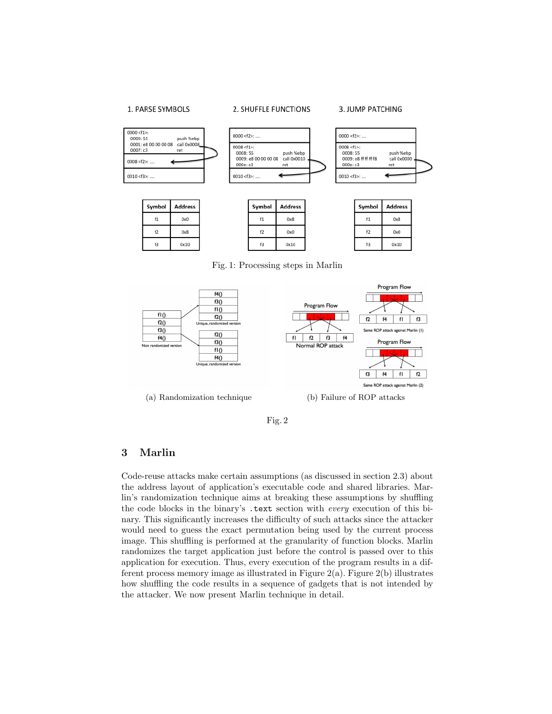

Fig. 1: Processing steps in Marlin



Fig. 2

# 3 Marlin

Code-reuse attacks make certain assumptions (as discussed in section 2.3) about the address layout of application's executable code and shared libraries. Marlin's randomization technique aims at breaking these assumptions by shuffling the code blocks in the binary's .text section with every execution of this binary. This significantly increases the difficulty of such attacks since the attacker would need to guess the exact permutation being used by the current process image. This shuffling is performed at the granularity of function blocks. Marlin randomizes the target application just before the control is passed over to this application for execution. Thus, every execution of the program results in a different process memory image as illustrated in Figure  $2(a)$ . Figure  $2(b)$  illustrates how shuffling the code results in a sequence of gadgets that is not intended by the attacker. We now present Marlin technique in detail.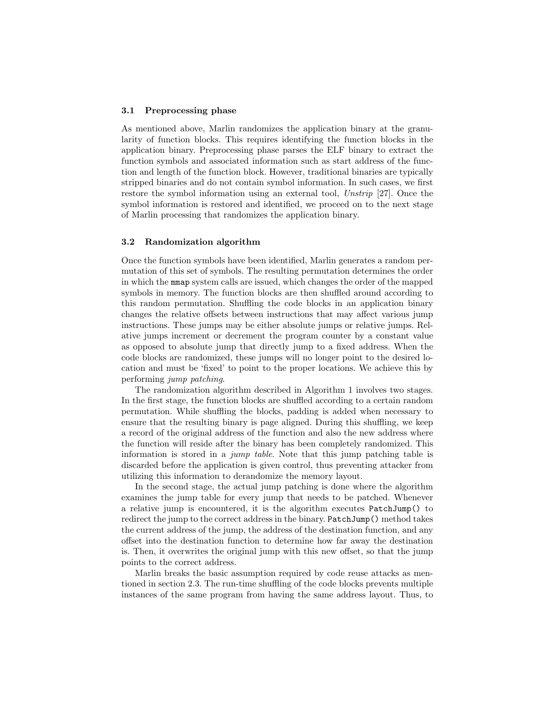#### 3.1 Preprocessing phase

As mentioned above, Marlin randomizes the application binary at the granularity of function blocks. This requires identifying the function blocks in the application binary. Preprocessing phase parses the ELF binary to extract the function symbols and associated information such as start address of the function and length of the function block. However, traditional binaries are typically stripped binaries and do not contain symbol information. In such cases, we first restore the symbol information using an external tool, Unstrip [27]. Once the symbol information is restored and identified, we proceed on to the next stage of Marlin processing that randomizes the application binary.

#### 3.2 Randomization algorithm

Once the function symbols have been identified, Marlin generates a random permutation of this set of symbols. The resulting permutation determines the order in which the mmap system calls are issued, which changes the order of the mapped symbols in memory. The function blocks are then shuffled around according to this random permutation. Shuffling the code blocks in an application binary changes the relative offsets between instructions that may affect various jump instructions. These jumps may be either absolute jumps or relative jumps. Relative jumps increment or decrement the program counter by a constant value as opposed to absolute jump that directly jump to a fixed address. When the code blocks are randomized, these jumps will no longer point to the desired location and must be 'fixed' to point to the proper locations. We achieve this by performing jump patching.

The randomization algorithm described in Algorithm 1 involves two stages. In the first stage, the function blocks are shuffled according to a certain random permutation. While shuffling the blocks, padding is added when necessary to ensure that the resulting binary is page aligned. During this shuffling, we keep a record of the original address of the function and also the new address where the function will reside after the binary has been completely randomized. This information is stored in a jump table. Note that this jump patching table is discarded before the application is given control, thus preventing attacker from utilizing this information to derandomize the memory layout.

In the second stage, the actual jump patching is done where the algorithm examines the jump table for every jump that needs to be patched. Whenever a relative jump is encountered, it is the algorithm executes PatchJump() to redirect the jump to the correct address in the binary. PatchJump() method takes the current address of the jump, the address of the destination function, and any offset into the destination function to determine how far away the destination is. Then, it overwrites the original jump with this new offset, so that the jump points to the correct address.

Marlin breaks the basic assumption required by code reuse attacks as mentioned in section 2.3. The run-time shuffling of the code blocks prevents multiple instances of the same program from having the same address layout. Thus, to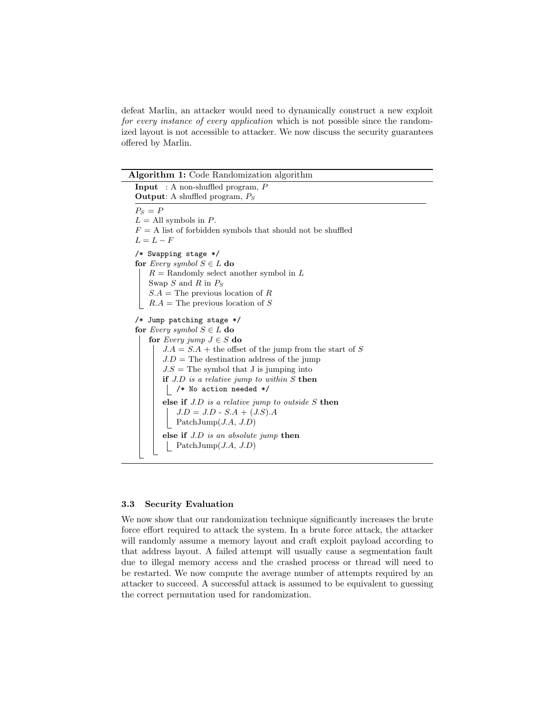defeat Marlin, an attacker would need to dynamically construct a new exploit for every instance of every application which is not possible since the randomized layout is not accessible to attacker. We now discuss the security guarantees offered by Marlin.

Algorithm 1: Code Randomization algorithm Input : A non-shuffled program, P **Output:** A shuffled program,  $P_S$  $P_S = P$  $L =$  All symbols in P.  $F = A$  list of forbidden symbols that should not be shuffled  $L = L - F$ /\* Swapping stage \*/ for Every symbol  $S \in L$  do  $R =$  Randomly select another symbol in  $L$ Swap  $S$  and  $R$  in  $P_S$  $S.A =$  The previous location of R  $R.A =$  The previous location of S /\* Jump patching stage \*/ for Every symbol  $S \in L$  do for Every jump  $J \in S$  do  $J.A = S.A +$  the offset of the jump from the start of S  $J.D =$  The destination address of the jump  $J.S =$  The symbol that J is jumping into if  $J.D$  is a relative jump to within  $S$  then /\* No action needed \*/ else if  $J.D$  is a relative jump to outside  $S$  then  $J.D = J.D - S.A + (J.S).A$ PatchJump(J.A, J.D) else if J.D is an absolute jump then PatchJump(J.A, J.D)

### 3.3 Security Evaluation

We now show that our randomization technique significantly increases the brute force effort required to attack the system. In a brute force attack, the attacker will randomly assume a memory layout and craft exploit payload according to that address layout. A failed attempt will usually cause a segmentation fault due to illegal memory access and the crashed process or thread will need to be restarted. We now compute the average number of attempts required by an attacker to succeed. A successful attack is assumed to be equivalent to guessing the correct permutation used for randomization.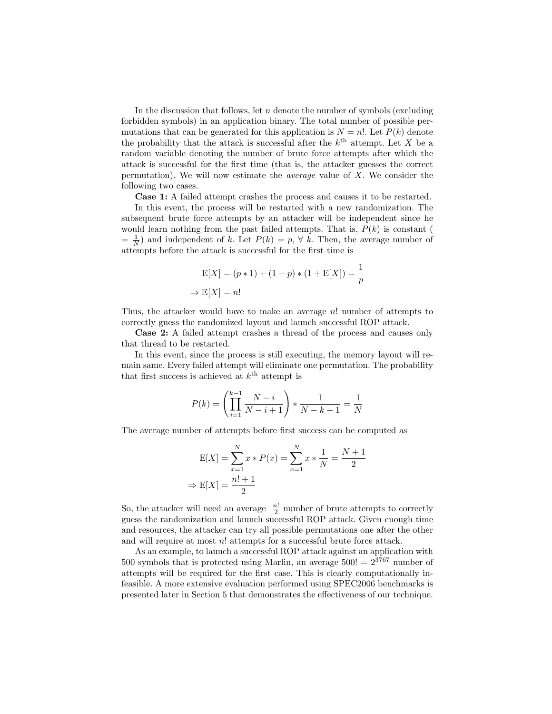In the discussion that follows, let  $n$  denote the number of symbols (excluding forbidden symbols) in an application binary. The total number of possible permutations that can be generated for this application is  $N = n!$ . Let  $P(k)$  denote the probability that the attack is successful after the  $k^{\text{th}}$  attempt. Let X be a random variable denoting the number of brute force attempts after which the attack is successful for the first time (that is, the attacker guesses the correct permutation). We will now estimate the average value of X. We consider the following two cases.

Case 1: A failed attempt crashes the process and causes it to be restarted.

In this event, the process will be restarted with a new randomization. The subsequent brute force attempts by an attacker will be independent since he would learn nothing from the past failed attempts. That is,  $P(k)$  is constant (  $=\frac{1}{N}$  and independent of k. Let  $P(k) = p, \forall k$ . Then, the average number of attempts before the attack is successful for the first time is

$$
E[X] = (p * 1) + (1 - p) * (1 + E[X]) = \frac{1}{p}
$$
  
\n
$$
\Rightarrow E[X] = n!
$$

Thus, the attacker would have to make an average n! number of attempts to correctly guess the randomized layout and launch successful ROP attack.

Case 2: A failed attempt crashes a thread of the process and causes only that thread to be restarted.

In this event, since the process is still executing, the memory layout will remain same. Every failed attempt will eliminate one permutation. The probability that first success is achieved at  $k^{\text{th}}$  attempt is

$$
P(k) = \left(\prod_{i=1}^{k-1} \frac{N-i}{N-i+1}\right) * \frac{1}{N-k+1} = \frac{1}{N}
$$

The average number of attempts before first success can be computed as

$$
E[X] = \sum_{x=1}^{N} x * P(x) = \sum_{x=1}^{N} x * \frac{1}{N} = \frac{N+1}{2}
$$
  
\n
$$
\Rightarrow E[X] = \frac{n!+1}{2}
$$

So, the attacker will need an average  $\frac{n!}{2}$  number of brute attempts to correctly guess the randomization and launch successful ROP attack. Given enough time and resources, the attacker can try all possible permutations one after the other and will require at most  $n!$  attempts for a successful brute force attack.

As an example, to launch a successful ROP attack against an application with 500 symbols that is protected using Marlin, an average  $500! = 2^{3767}$  number of attempts will be required for the first case. This is clearly computationally infeasible. A more extensive evaluation performed using SPEC2006 benchmarks is presented later in Section 5 that demonstrates the effectiveness of our technique.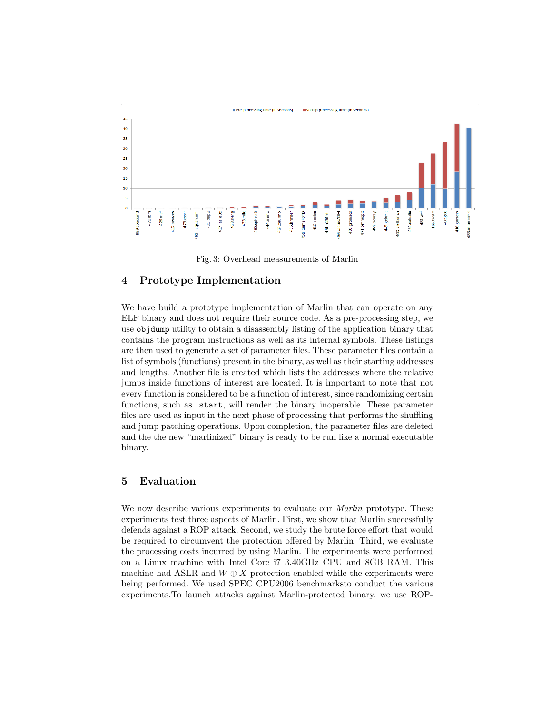

Fig. 3: Overhead measurements of Marlin

# 4 Prototype Implementation

We have build a prototype implementation of Marlin that can operate on any ELF binary and does not require their source code. As a pre-processing step, we use objdump utility to obtain a disassembly listing of the application binary that contains the program instructions as well as its internal symbols. These listings are then used to generate a set of parameter files. These parameter files contain a list of symbols (functions) present in the binary, as well as their starting addresses and lengths. Another file is created which lists the addresses where the relative jumps inside functions of interest are located. It is important to note that not every function is considered to be a function of interest, since randomizing certain functions, such as start, will render the binary inoperable. These parameter files are used as input in the next phase of processing that performs the shuffling and jump patching operations. Upon completion, the parameter files are deleted and the the new "marlinized" binary is ready to be run like a normal executable binary.

# 5 Evaluation

We now describe various experiments to evaluate our *Marlin* prototype. These experiments test three aspects of Marlin. First, we show that Marlin successfully defends against a ROP attack. Second, we study the brute force effort that would be required to circumvent the protection offered by Marlin. Third, we evaluate the processing costs incurred by using Marlin. The experiments were performed on a Linux machine with Intel Core i7 3.40GHz CPU and 8GB RAM. This machine had ASLR and  $W \oplus X$  protection enabled while the experiments were being performed. We used SPEC CPU2006 benchmarksto conduct the various experiments.To launch attacks against Marlin-protected binary, we use ROP-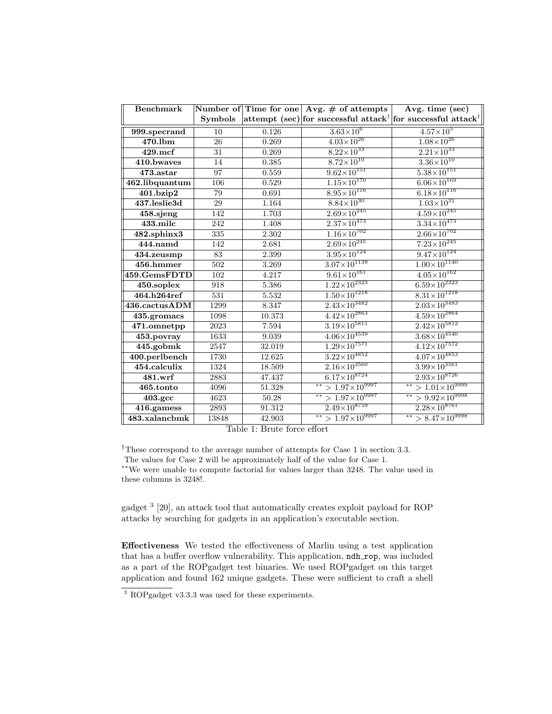| <b>Benchmark</b>                  |                |        | Number of Time for one Avg. # of attempts                                                  | Avg. time (sec)                 |
|-----------------------------------|----------------|--------|--------------------------------------------------------------------------------------------|---------------------------------|
|                                   | <b>Symbols</b> |        | $ \rm{attempt~(sec)} $ for successful attack $^\dagger \rm{for~successful~attack}^\dagger$ |                                 |
| $999.\mathrm{spectrand}$          | 10             | 0.126  | $3.63 \times 10^{6}$                                                                       | $4.57\times10^5$                |
| 470.lbm                           | 26             | 0.269  | $4.03 \times 10^{26}$                                                                      | $1.08\times10^{26}$             |
| $429$ .mcf                        | 31             | 0.269  | $8.22\times10^{33}$                                                                        | $2.21 \times 10^{33}$           |
| 410.bwayes                        | 14             | 0.385  | $8.72\times10^{10}$                                                                        | $3.36 \times 10^{10}$           |
| 473.astar                         | 97             | 0.559  | $9.62\times10^{151}$                                                                       | $5.38\times10^{151}$            |
| 462.libquantum                    | 106            | 0.529  | $1.15\times10^{170}$                                                                       | $6.06\times10^{169}$            |
| 401.bzip2                         | 79             | 0.691  | $8.95\times10^{116}$                                                                       | $6.18\times10^{116}$            |
| 437.leslie3d                      | 29             | 1.164  | $8.84 \times 10^{30}$                                                                      | $1.03 \times 10^{31}$           |
| 458.sjeng                         | 142            | 1.703  | $2.69\times10^{245}$                                                                       | $4.59\times10^{245}$            |
| 433.milc                          | 242            | 1.408  | $2.37\times10^{473}$                                                                       | $3.34\times10^{473}$            |
| $482.\overline{\textrm{sphinx3}}$ | 335            | 2.302  | $1.16\times10^{702}$                                                                       | $2.66\times10^{702}$            |
| 444.namd                          | 142            | 2.681  | $2.69\times10^{245}$                                                                       | $7.23\times10^{245}$            |
| 434.zeusmp                        | 83             | 2.399  | $3.95\times10^{124}$                                                                       | $9.47\times10^{124}$            |
| 456.hmmer                         | 502            | 3.269  | $3.07\times10^{1139}$                                                                      | $1.00\times10^{1140}$           |
| 459.GemsFDTD                      | 102            | 4.217  | $9.61\times10^{161}$                                                                       | $4.05 \times 10^{162}$          |
| 450.soplex                        | 918            | 5.386  | $1.22 \times 10^{2323}$                                                                    | $6.59\times10^{2323}$           |
| 464.h264ref                       | 531            | 5.532  | $1.50\times10^{1218}$                                                                      | $8.31\times10^{1218}$           |
| 436.cactusADM                     | 1299           | 8.347  | $2.43\times10^{3482}$                                                                      | $2.03\times10^{3483}$           |
| 435.gromacs                       | 1098           | 10.373 | $4.42 \times 10^{2863}$                                                                    | $4.59\times10^{2864}$           |
| 471.omnetpp                       | 2023           | 7.594  | $3.19\times10^{5811}$                                                                      | $2.42\times10^{5812}$           |
| 453.povray                        | 1633           | 9.039  | $4.06\times10^{4539}$                                                                      | $3.68\times10^{4540}$           |
| 445.gobmk                         | 2547           | 32.019 | $1.29\times10^{7571}$                                                                      | $4.12{\times}10^{7572}$         |
| 400.perlbench                     | 1730           | 12.625 | $3.22\times10^{4852}$                                                                      | $4.07\times10^{4853}$           |
| 454.calculix                      | 1324           | 18.509 | $2.16\times10^{3560}$                                                                      | $3.99\times10^{3561}$           |
| $481.$ wrf                        | 2883           | 47.437 | $6.17\times10^{8724}$                                                                      | $2.93\times10^{8726}$           |
| 465.tonto                         | 4096           | 51.328 | $*** > 1.97 \times 10^{9997}$                                                              | $*** > 1.01 \times 10^{9999}$   |
| $403.\text{gcc}$                  | 4623           | 50.28  | $*** 1.97\times10^{9997}$                                                                  | $***$ > 9.92×10 <sup>9998</sup> |
| 416.gamess                        | 2893           | 91.312 | $2.49\times10^{8759}$                                                                      | $2.28\times10^{8761}$           |
| 483.xalancbmk                     | 13848          | 42.903 | $*** > 1.97 \times 10^{9997}$                                                              | ** > $8.47 \times 10^{9998}$    |

Table 1: Brute force effort

†These correspond to the average number of attempts for Case 1 in section 3.3.

The values for Case 2 will be approximately half of the value for Case 1.

∗∗We were unable to compute factorial for values larger than 3248. The value used in these columns is 3248!.

gadget <sup>3</sup> [20], an attack tool that automatically creates exploit payload for ROP attacks by searching for gadgets in an application's executable section.

Effectiveness We tested the effectiveness of Marlin using a test application that has a buffer overflow vulnerability. This application,  $ndh\_rop$ , was included as a part of the ROPgadget test binaries. We used ROPgadget on this target application and found 162 unique gadgets. These were sufficient to craft a shell

 $\sqrt{\frac{3}{3} \text{ ROPgadget}}$  v3.3.3 was used for these experiments.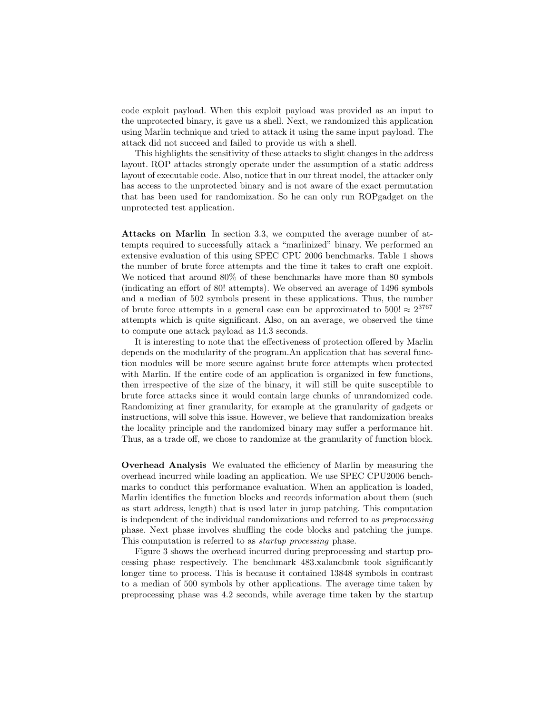code exploit payload. When this exploit payload was provided as an input to the unprotected binary, it gave us a shell. Next, we randomized this application using Marlin technique and tried to attack it using the same input payload. The attack did not succeed and failed to provide us with a shell.

This highlights the sensitivity of these attacks to slight changes in the address layout. ROP attacks strongly operate under the assumption of a static address layout of executable code. Also, notice that in our threat model, the attacker only has access to the unprotected binary and is not aware of the exact permutation that has been used for randomization. So he can only run ROPgadget on the unprotected test application.

Attacks on Marlin In section 3.3, we computed the average number of attempts required to successfully attack a "marlinized" binary. We performed an extensive evaluation of this using SPEC CPU 2006 benchmarks. Table 1 shows the number of brute force attempts and the time it takes to craft one exploit. We noticed that around 80% of these benchmarks have more than 80 symbols (indicating an effort of 80! attempts). We observed an average of 1496 symbols and a median of 502 symbols present in these applications. Thus, the number of brute force attempts in a general case can be approximated to 500!  $\approx 2^{3767}$ attempts which is quite significant. Also, on an average, we observed the time to compute one attack payload as 14.3 seconds.

It is interesting to note that the effectiveness of protection offered by Marlin depends on the modularity of the program.An application that has several function modules will be more secure against brute force attempts when protected with Marlin. If the entire code of an application is organized in few functions, then irrespective of the size of the binary, it will still be quite susceptible to brute force attacks since it would contain large chunks of unrandomized code. Randomizing at finer granularity, for example at the granularity of gadgets or instructions, will solve this issue. However, we believe that randomization breaks the locality principle and the randomized binary may suffer a performance hit. Thus, as a trade off, we chose to randomize at the granularity of function block.

Overhead Analysis We evaluated the efficiency of Marlin by measuring the overhead incurred while loading an application. We use SPEC CPU2006 benchmarks to conduct this performance evaluation. When an application is loaded, Marlin identifies the function blocks and records information about them (such as start address, length) that is used later in jump patching. This computation is independent of the individual randomizations and referred to as preprocessing phase. Next phase involves shuffling the code blocks and patching the jumps. This computation is referred to as startup processing phase.

Figure 3 shows the overhead incurred during preprocessing and startup processing phase respectively. The benchmark 483.xalancbmk took significantly longer time to process. This is because it contained 13848 symbols in contrast to a median of 500 symbols by other applications. The average time taken by preprocessing phase was 4.2 seconds, while average time taken by the startup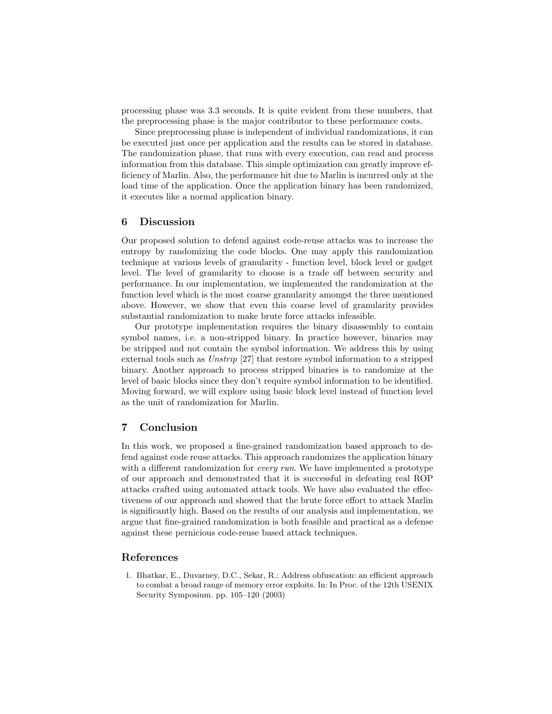processing phase was 3.3 seconds. It is quite evident from these numbers, that the preprocessing phase is the major contributor to these performance costs.

Since preprocessing phase is independent of individual randomizations, it can be executed just once per application and the results can be stored in database. The randomization phase, that runs with every execution, can read and process information from this database. This simple optimization can greatly improve efficiency of Marlin. Also, the performance hit due to Marlin is incurred only at the load time of the application. Once the application binary has been randomized, it executes like a normal application binary.

# 6 Discussion

Our proposed solution to defend against code-reuse attacks was to increase the entropy by randomizing the code blocks. One may apply this randomization technique at various levels of granularity - function level, block level or gadget level. The level of granularity to choose is a trade off between security and performance. In our implementation, we implemented the randomization at the function level which is the most coarse granularity amongst the three mentioned above. However, we show that even this coarse level of granularity provides substantial randomization to make brute force attacks infeasible.

Our prototype implementation requires the binary disassembly to contain symbol names, i.e. a non-stripped binary. In practice however, binaries may be stripped and not contain the symbol information. We address this by using external tools such as Unstrip [27] that restore symbol information to a stripped binary. Another approach to process stripped binaries is to randomize at the level of basic blocks since they don't require symbol information to be identified. Moving forward, we will explore using basic block level instead of function level as the unit of randomization for Marlin.

# 7 Conclusion

In this work, we proposed a fine-grained randomization based approach to defend against code reuse attacks. This approach randomizes the application binary with a different randomization for *every run*. We have implemented a prototype of our approach and demonstrated that it is successful in defeating real ROP attacks crafted using automated attack tools. We have also evaluated the effectiveness of our approach and showed that the brute force effort to attack Marlin is significantly high. Based on the results of our analysis and implementation, we argue that fine-grained randomization is both feasible and practical as a defense against these pernicious code-reuse based attack techniques.

# References

1. Bhatkar, E., Duvarney, D.C., Sekar, R.: Address obfuscation: an efficient approach to combat a broad range of memory error exploits. In: In Proc. of the 12th USENIX Security Symposium. pp. 105–120 (2003)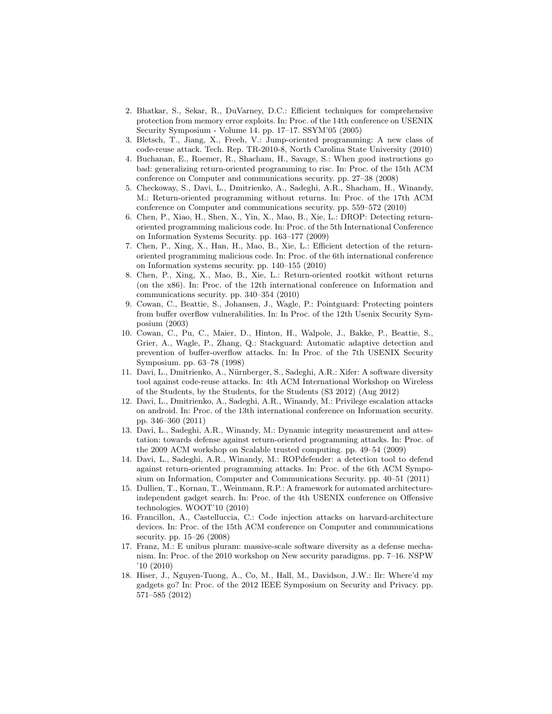- 2. Bhatkar, S., Sekar, R., DuVarney, D.C.: Efficient techniques for comprehensive protection from memory error exploits. In: Proc. of the 14th conference on USENIX Security Symposium - Volume 14. pp. 17–17. SSYM'05 (2005)
- 3. Bletsch, T., Jiang, X., Freeh, V.: Jump-oriented programming: A new class of code-reuse attack. Tech. Rep. TR-2010-8, North Carolina State University (2010)
- 4. Buchanan, E., Roemer, R., Shacham, H., Savage, S.: When good instructions go bad: generalizing return-oriented programming to risc. In: Proc. of the 15th ACM conference on Computer and communications security. pp. 27–38 (2008)
- 5. Checkoway, S., Davi, L., Dmitrienko, A., Sadeghi, A.R., Shacham, H., Winandy, M.: Return-oriented programming without returns. In: Proc. of the 17th ACM conference on Computer and communications security. pp. 559–572 (2010)
- 6. Chen, P., Xiao, H., Shen, X., Yin, X., Mao, B., Xie, L.: DROP: Detecting returnoriented programming malicious code. In: Proc. of the 5th International Conference on Information Systems Security. pp. 163–177 (2009)
- 7. Chen, P., Xing, X., Han, H., Mao, B., Xie, L.: Efficient detection of the returnoriented programming malicious code. In: Proc. of the 6th international conference on Information systems security. pp. 140–155 (2010)
- 8. Chen, P., Xing, X., Mao, B., Xie, L.: Return-oriented rootkit without returns (on the x86). In: Proc. of the 12th international conference on Information and communications security. pp. 340–354 (2010)
- 9. Cowan, C., Beattie, S., Johansen, J., Wagle, P.: Pointguard: Protecting pointers from buffer overflow vulnerabilities. In: In Proc. of the 12th Usenix Security Symposium (2003)
- 10. Cowan, C., Pu, C., Maier, D., Hinton, H., Walpole, J., Bakke, P., Beattie, S., Grier, A., Wagle, P., Zhang, Q.: Stackguard: Automatic adaptive detection and prevention of buffer-overflow attacks. In: In Proc. of the 7th USENIX Security Symposium. pp. 63–78 (1998)
- 11. Davi, L., Dmitrienko, A., Nürnberger, S., Sadeghi, A.R.: Xifer: A software diversity tool against code-reuse attacks. In: 4th ACM International Workshop on Wireless of the Students, by the Students, for the Students (S3 2012) (Aug 2012)
- 12. Davi, L., Dmitrienko, A., Sadeghi, A.R., Winandy, M.: Privilege escalation attacks on android. In: Proc. of the 13th international conference on Information security. pp. 346–360 (2011)
- 13. Davi, L., Sadeghi, A.R., Winandy, M.: Dynamic integrity measurement and attestation: towards defense against return-oriented programming attacks. In: Proc. of the 2009 ACM workshop on Scalable trusted computing. pp. 49–54 (2009)
- 14. Davi, L., Sadeghi, A.R., Winandy, M.: ROPdefender: a detection tool to defend against return-oriented programming attacks. In: Proc. of the 6th ACM Symposium on Information, Computer and Communications Security. pp. 40–51 (2011)
- 15. Dullien, T., Kornau, T., Weinmann, R.P.: A framework for automated architectureindependent gadget search. In: Proc. of the 4th USENIX conference on Offensive technologies. WOOT'10 (2010)
- 16. Francillon, A., Castelluccia, C.: Code injection attacks on harvard-architecture devices. In: Proc. of the 15th ACM conference on Computer and communications security. pp. 15–26 (2008)
- 17. Franz, M.: E unibus pluram: massive-scale software diversity as a defense mechanism. In: Proc. of the 2010 workshop on New security paradigms. pp. 7–16. NSPW '10 (2010)
- 18. Hiser, J., Nguyen-Tuong, A., Co, M., Hall, M., Davidson, J.W.: Ilr: Where'd my gadgets go? In: Proc. of the 2012 IEEE Symposium on Security and Privacy. pp. 571–585 (2012)